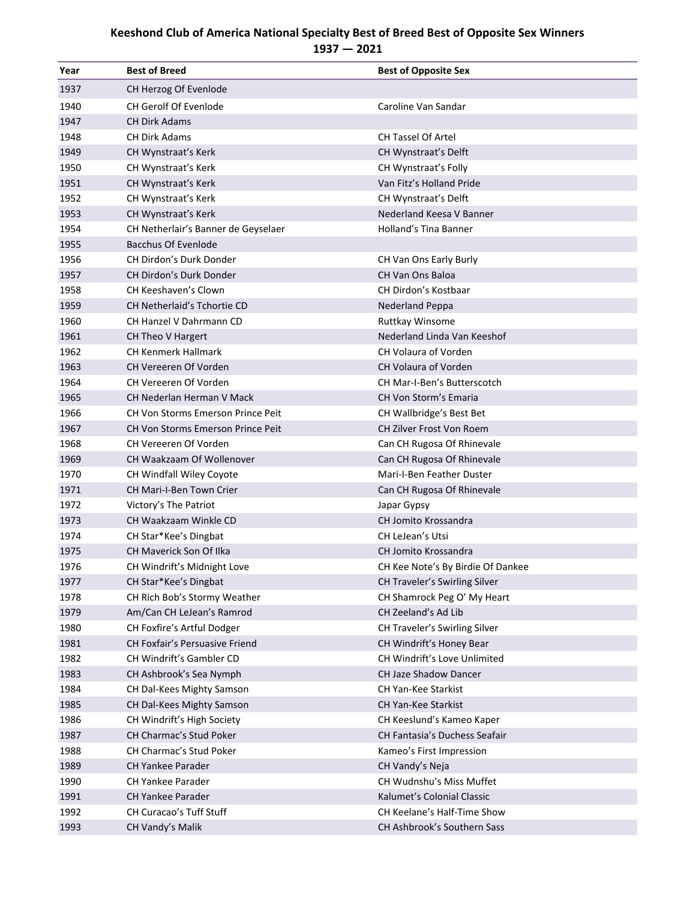## **Keeshond Club of America National Specialty Best of Breed Best of Opposite Sex Winners 1937 — 2021**

| Year | <b>Best of Breed</b>                | <b>Best of Opposite Sex</b>          |
|------|-------------------------------------|--------------------------------------|
| 1937 | CH Herzog Of Evenlode               |                                      |
| 1940 | <b>CH Gerolf Of Evenlode</b>        | Caroline Van Sandar                  |
| 1947 | <b>CH Dirk Adams</b>                |                                      |
| 1948 | <b>CH Dirk Adams</b>                | <b>CH Tassel Of Artel</b>            |
| 1949 | CH Wynstraat's Kerk                 | CH Wynstraat's Delft                 |
| 1950 | CH Wynstraat's Kerk                 | CH Wynstraat's Folly                 |
| 1951 | CH Wynstraat's Kerk                 | Van Fitz's Holland Pride             |
| 1952 | CH Wynstraat's Kerk                 | CH Wynstraat's Delft                 |
| 1953 | CH Wynstraat's Kerk                 | Nederland Keesa V Banner             |
| 1954 | CH Netherlair's Banner de Geyselaer | Holland's Tina Banner                |
| 1955 | <b>Bacchus Of Evenlode</b>          |                                      |
| 1956 | CH Dirdon's Durk Donder             | CH Van Ons Early Burly               |
| 1957 | CH Dirdon's Durk Donder             | <b>CH Van Ons Baloa</b>              |
| 1958 | CH Keeshaven's Clown                | CH Dirdon's Kostbaar                 |
| 1959 | CH Netherlaid's Tchortie CD         | Nederland Peppa                      |
| 1960 | CH Hanzel V Dahrmann CD             | <b>Ruttkay Winsome</b>               |
| 1961 | CH Theo V Hargert                   | Nederland Linda Van Keeshof          |
| 1962 | <b>CH Kenmerk Hallmark</b>          | CH Volaura of Vorden                 |
| 1963 | <b>CH Vereeren Of Vorden</b>        | CH Volaura of Vorden                 |
| 1964 | <b>CH Vereeren Of Vorden</b>        | <b>CH Mar-I-Ben's Butterscotch</b>   |
| 1965 | CH Nederlan Herman V Mack           | <b>CH Von Storm's Emaria</b>         |
| 1966 | CH Von Storms Emerson Prince Peit   | CH Wallbridge's Best Bet             |
| 1967 | CH Von Storms Emerson Prince Peit   | CH Zilver Frost Von Roem             |
| 1968 | CH Vereeren Of Vorden               | Can CH Rugosa Of Rhinevale           |
| 1969 | CH Waakzaam Of Wollenover           | Can CH Rugosa Of Rhinevale           |
| 1970 | CH Windfall Wiley Coyote            | Mari-I-Ben Feather Duster            |
| 1971 | CH Mari-I-Ben Town Crier            | Can CH Rugosa Of Rhinevale           |
| 1972 | Victory's The Patriot               | Japar Gypsy                          |
| 1973 | CH Waakzaam Winkle CD               | CH Jomito Krossandra                 |
| 1974 | CH Star*Kee's Dingbat               | CH LeJean's Utsi                     |
| 1975 | CH Maverick Son Of Ilka             | CH Jomito Krossandra                 |
| 1976 | CH Windrift's Midnight Love         | CH Kee Note's By Birdie Of Dankee    |
| 1977 | CH Star*Kee's Dingbat               | CH Traveler's Swirling Silver        |
| 1978 | CH Rich Bob's Stormy Weather        | CH Shamrock Peg O' My Heart          |
| 1979 | Am/Can CH LeJean's Ramrod           | CH Zeeland's Ad Lib                  |
| 1980 | CH Foxfire's Artful Dodger          | CH Traveler's Swirling Silver        |
| 1981 | CH Foxfair's Persuasive Friend      | CH Windrift's Honey Bear             |
| 1982 | CH Windrift's Gambler CD            | CH Windrift's Love Unlimited         |
| 1983 | CH Ashbrook's Sea Nymph             | <b>CH Jaze Shadow Dancer</b>         |
| 1984 | CH Dal-Kees Mighty Samson           | CH Yan-Kee Starkist                  |
| 1985 | CH Dal-Kees Mighty Samson           | CH Yan-Kee Starkist                  |
| 1986 | CH Windrift's High Society          | CH Keeslund's Kameo Kaper            |
| 1987 | CH Charmac's Stud Poker             | <b>CH Fantasia's Duchess Seafair</b> |
| 1988 | CH Charmac's Stud Poker             | Kameo's First Impression             |
| 1989 | CH Yankee Parader                   | CH Vandy's Neja                      |
| 1990 | <b>CH Yankee Parader</b>            | CH Wudnshu's Miss Muffet             |
| 1991 | <b>CH Yankee Parader</b>            | Kalumet's Colonial Classic           |
| 1992 | CH Curacao's Tuff Stuff             | CH Keelane's Half-Time Show          |
| 1993 | CH Vandy's Malik                    | CH Ashbrook's Southern Sass          |